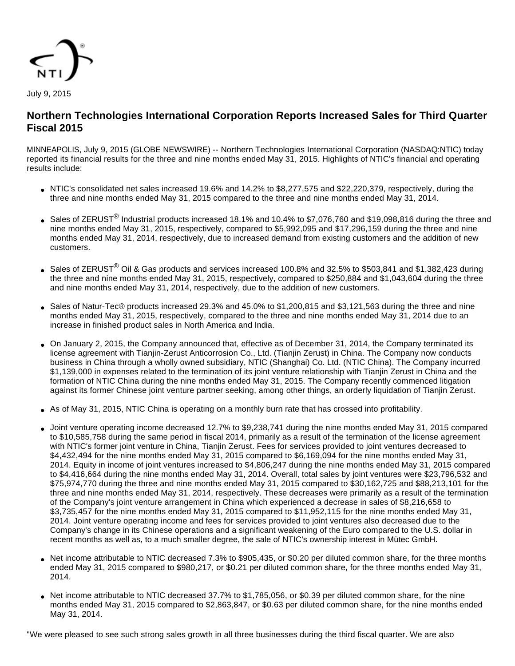

# **Northern Technologies International Corporation Reports Increased Sales for Third Quarter Fiscal 2015**

MINNEAPOLIS, July 9, 2015 (GLOBE NEWSWIRE) -- Northern Technologies International Corporation (NASDAQ:NTIC) today reported its financial results for the three and nine months ended May 31, 2015. Highlights of NTIC's financial and operating results include:

- NTIC's consolidated net sales increased 19.6% and 14.2% to \$8,277,575 and \$22,220,379, respectively, during the three and nine months ended May 31, 2015 compared to the three and nine months ended May 31, 2014.
- Sales of ZERUST<sup>®</sup> Industrial products increased 18.1% and 10.4% to \$7,076,760 and \$19,098,816 during the three and nine months ended May 31, 2015, respectively, compared to \$5,992,095 and \$17,296,159 during the three and nine months ended May 31, 2014, respectively, due to increased demand from existing customers and the addition of new customers.
- Sales of ZERUST<sup>®</sup> Oil & Gas products and services increased 100.8% and 32.5% to \$503,841 and \$1,382,423 during the three and nine months ended May 31, 2015, respectively, compared to \$250,884 and \$1,043,604 during the three and nine months ended May 31, 2014, respectively, due to the addition of new customers.
- Sales of Natur-Tec® products increased 29.3% and 45.0% to \$1,200,815 and \$3,121,563 during the three and nine months ended May 31, 2015, respectively, compared to the three and nine months ended May 31, 2014 due to an increase in finished product sales in North America and India.
- On January 2, 2015, the Company announced that, effective as of December 31, 2014, the Company terminated its license agreement with Tianjin-Zerust Anticorrosion Co., Ltd. (Tianjin Zerust) in China. The Company now conducts business in China through a wholly owned subsidiary, NTIC (Shanghai) Co. Ltd. (NTIC China). The Company incurred \$1,139,000 in expenses related to the termination of its joint venture relationship with Tianjin Zerust in China and the formation of NTIC China during the nine months ended May 31, 2015. The Company recently commenced litigation against its former Chinese joint venture partner seeking, among other things, an orderly liquidation of Tianjin Zerust.
- As of May 31, 2015, NTIC China is operating on a monthly burn rate that has crossed into profitability.
- Joint venture operating income decreased 12.7% to \$9,238,741 during the nine months ended May 31, 2015 compared to \$10,585,758 during the same period in fiscal 2014, primarily as a result of the termination of the license agreement with NTIC's former joint venture in China, Tianjin Zerust. Fees for services provided to joint ventures decreased to \$4,432,494 for the nine months ended May 31, 2015 compared to \$6,169,094 for the nine months ended May 31, 2014. Equity in income of joint ventures increased to \$4,806,247 during the nine months ended May 31, 2015 compared to \$4,416,664 during the nine months ended May 31, 2014. Overall, total sales by joint ventures were \$23,796,532 and \$75,974,770 during the three and nine months ended May 31, 2015 compared to \$30,162,725 and \$88,213,101 for the three and nine months ended May 31, 2014, respectively. These decreases were primarily as a result of the termination of the Company's joint venture arrangement in China which experienced a decrease in sales of \$8,216,658 to \$3,735,457 for the nine months ended May 31, 2015 compared to \$11,952,115 for the nine months ended May 31, 2014. Joint venture operating income and fees for services provided to joint ventures also decreased due to the Company's change in its Chinese operations and a significant weakening of the Euro compared to the U.S. dollar in recent months as well as, to a much smaller degree, the sale of NTIC's ownership interest in Mütec GmbH.
- Net income attributable to NTIC decreased 7.3% to \$905,435, or \$0.20 per diluted common share, for the three months ended May 31, 2015 compared to \$980,217, or \$0.21 per diluted common share, for the three months ended May 31, 2014.
- Net income attributable to NTIC decreased 37.7% to \$1,785,056, or \$0.39 per diluted common share, for the nine months ended May 31, 2015 compared to \$2,863,847, or \$0.63 per diluted common share, for the nine months ended May 31, 2014.

"We were pleased to see such strong sales growth in all three businesses during the third fiscal quarter. We are also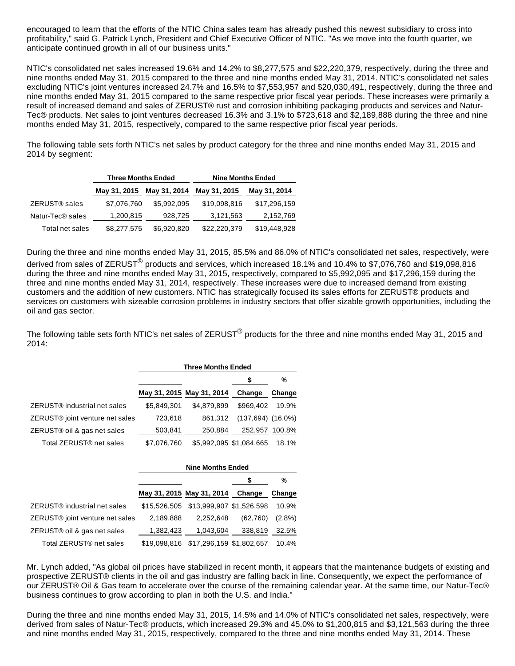encouraged to learn that the efforts of the NTIC China sales team has already pushed this newest subsidiary to cross into profitability," said G. Patrick Lynch, President and Chief Executive Officer of NTIC. "As we move into the fourth quarter, we anticipate continued growth in all of our business units."

NTIC's consolidated net sales increased 19.6% and 14.2% to \$8,277,575 and \$22,220,379, respectively, during the three and nine months ended May 31, 2015 compared to the three and nine months ended May 31, 2014. NTIC's consolidated net sales excluding NTIC's joint ventures increased 24.7% and 16.5% to \$7,553,957 and \$20,030,491, respectively, during the three and nine months ended May 31, 2015 compared to the same respective prior fiscal year periods. These increases were primarily a result of increased demand and sales of ZERUST® rust and corrosion inhibiting packaging products and services and Natur-Tec® products. Net sales to joint ventures decreased 16.3% and 3.1% to \$723,618 and \$2,189,888 during the three and nine months ended May 31, 2015, respectively, compared to the same respective prior fiscal year periods.

The following table sets forth NTIC's net sales by product category for the three and nine months ended May 31, 2015 and 2014 by segment:

|                              | <b>Three Months Ended</b> |              | <b>Nine Months Ended</b> |              |  |
|------------------------------|---------------------------|--------------|--------------------------|--------------|--|
|                              | May 31, 2015              | May 31, 2014 | May 31, 2015             | May 31, 2014 |  |
| ZERUST <sup>®</sup> sales    | \$7,076,760               | \$5,992,095  | \$19,098,816             | \$17,296,159 |  |
| Natur-Tec <sup>®</sup> sales | 1,200,815                 | 928.725      | 3,121,563                | 2,152,769    |  |
| Total net sales              | \$8,277,575               | \$6,920,820  | \$22,220,379             | \$19,448,928 |  |

During the three and nine months ended May 31, 2015, 85.5% and 86.0% of NTIC's consolidated net sales, respectively, were

derived from sales of ZERUST<sup>®</sup> products and services, which increased 18.1% and 10.4% to \$7,076,760 and \$19,098,816 during the three and nine months ended May 31, 2015, respectively, compared to \$5,992,095 and \$17,296,159 during the three and nine months ended May 31, 2014, respectively. These increases were due to increased demand from existing customers and the addition of new customers. NTIC has strategically focused its sales efforts for ZERUST® products and services on customers with sizeable corrosion problems in industry sectors that offer sizable growth opportunities, including the oil and gas sector.

The following table sets forth NTIC's net sales of ZERUST<sup>®</sup> products for the three and nine months ended May 31, 2015 and 2014:

|                                             | <b>Three Months Ended</b> |                           |                         |        |  |  |
|---------------------------------------------|---------------------------|---------------------------|-------------------------|--------|--|--|
|                                             |                           |                           |                         | %      |  |  |
|                                             |                           | May 31, 2015 May 31, 2014 | Change                  | Change |  |  |
| ZERUST <sup>®</sup> industrial net sales    | \$5.849.301               | \$4.879.899               | \$969.402               | 19.9%  |  |  |
| ZERUST <sup>®</sup> joint venture net sales | 723,618                   | 861.312                   | $(137,694)$ $(16.0\%)$  |        |  |  |
| ZERUST® oil & gas net sales                 | 503,841                   | 250,884                   | 252.957 100.8%          |        |  |  |
| Total ZERUST <sup>®</sup> net sales         | \$7,076,760               |                           | \$5,992,095 \$1,084,665 | 18.1%  |  |  |

|                                             | <b>Nine Months Ended</b> |                           |          |           |  |
|---------------------------------------------|--------------------------|---------------------------|----------|-----------|--|
|                                             |                          |                           |          | %         |  |
|                                             |                          | May 31, 2015 May 31, 2014 | Change   | Change    |  |
| ZERUST <sup>®</sup> industrial net sales    | \$15.526.505             | \$13,999,907 \$1,526,598  |          | 10.9%     |  |
| ZERUST <sup>®</sup> joint venture net sales | 2,189,888                | 2,252,648                 | (62,760) | $(2.8\%)$ |  |
| ZERUST® oil & gas net sales                 | 1,382,423                | 1,043,604                 | 338.819  | 32.5%     |  |
| Total ZERUST <sup>®</sup> net sales         | \$19,098,816             | \$17,296,159 \$1,802,657  |          | 10.4%     |  |

Mr. Lynch added, "As global oil prices have stabilized in recent month, it appears that the maintenance budgets of existing and prospective ZERUST® clients in the oil and gas industry are falling back in line. Consequently, we expect the performance of our ZERUST® Oil & Gas team to accelerate over the course of the remaining calendar year. At the same time, our Natur-Tec® business continues to grow according to plan in both the U.S. and India."

During the three and nine months ended May 31, 2015, 14.5% and 14.0% of NTIC's consolidated net sales, respectively, were derived from sales of Natur-Tec® products, which increased 29.3% and 45.0% to \$1,200,815 and \$3,121,563 during the three and nine months ended May 31, 2015, respectively, compared to the three and nine months ended May 31, 2014. These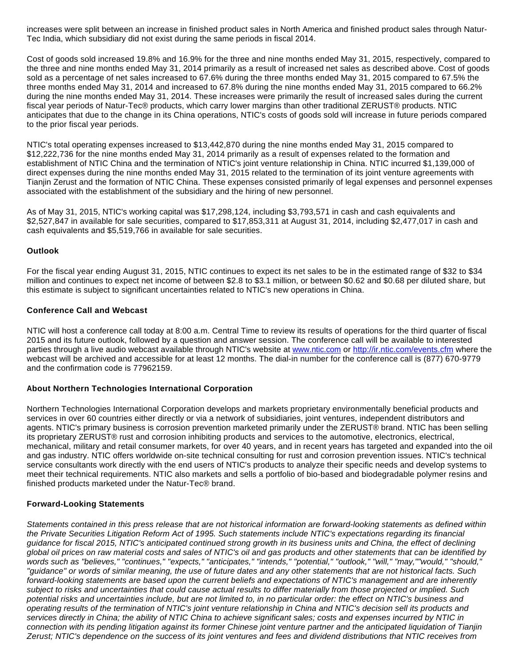increases were split between an increase in finished product sales in North America and finished product sales through Natur-Tec India, which subsidiary did not exist during the same periods in fiscal 2014.

Cost of goods sold increased 19.8% and 16.9% for the three and nine months ended May 31, 2015, respectively, compared to the three and nine months ended May 31, 2014 primarily as a result of increased net sales as described above. Cost of goods sold as a percentage of net sales increased to 67.6% during the three months ended May 31, 2015 compared to 67.5% the three months ended May 31, 2014 and increased to 67.8% during the nine months ended May 31, 2015 compared to 66.2% during the nine months ended May 31, 2014. These increases were primarily the result of increased sales during the current fiscal year periods of Natur-Tec® products, which carry lower margins than other traditional ZERUST® products. NTIC anticipates that due to the change in its China operations, NTIC's costs of goods sold will increase in future periods compared to the prior fiscal year periods.

NTIC's total operating expenses increased to \$13,442,870 during the nine months ended May 31, 2015 compared to \$12,222,736 for the nine months ended May 31, 2014 primarily as a result of expenses related to the formation and establishment of NTIC China and the termination of NTIC's joint venture relationship in China. NTIC incurred \$1,139,000 of direct expenses during the nine months ended May 31, 2015 related to the termination of its joint venture agreements with Tianjin Zerust and the formation of NTIC China. These expenses consisted primarily of legal expenses and personnel expenses associated with the establishment of the subsidiary and the hiring of new personnel.

As of May 31, 2015, NTIC's working capital was \$17,298,124, including \$3,793,571 in cash and cash equivalents and \$2,527,847 in available for sale securities, compared to \$17,853,311 at August 31, 2014, including \$2,477,017 in cash and cash equivalents and \$5,519,766 in available for sale securities.

## **Outlook**

For the fiscal year ending August 31, 2015, NTIC continues to expect its net sales to be in the estimated range of \$32 to \$34 million and continues to expect net income of between \$2.8 to \$3.1 million, or between \$0.62 and \$0.68 per diluted share, but this estimate is subject to significant uncertainties related to NTIC's new operations in China.

### **Conference Call and Webcast**

NTIC will host a conference call today at 8:00 a.m. Central Time to review its results of operations for the third quarter of fiscal 2015 and its future outlook, followed by a question and answer session. The conference call will be available to interested parties through a live audio webcast available through NTIC's website at [www.ntic.com](http://www.globenewswire.com/newsroom/ctr?d=10141044&l=15&a=www.ntic.com&u=http%3A%2F%2Fwww.ntic.com%2F) or [http://ir.ntic.com/events.cfm](http://www.globenewswire.com/newsroom/ctr?d=10141044&l=15&u=http%3A%2F%2Fir.ntic.com%2Fevents.cfm) where the webcast will be archived and accessible for at least 12 months. The dial-in number for the conference call is (877) 670-9779 and the confirmation code is 77962159.

## **About Northern Technologies International Corporation**

Northern Technologies International Corporation develops and markets proprietary environmentally beneficial products and services in over 60 countries either directly or via a network of subsidiaries, joint ventures, independent distributors and agents. NTIC's primary business is corrosion prevention marketed primarily under the ZERUST® brand. NTIC has been selling its proprietary ZERUST® rust and corrosion inhibiting products and services to the automotive, electronics, electrical, mechanical, military and retail consumer markets, for over 40 years, and in recent years has targeted and expanded into the oil and gas industry. NTIC offers worldwide on-site technical consulting for rust and corrosion prevention issues. NTIC's technical service consultants work directly with the end users of NTIC's products to analyze their specific needs and develop systems to meet their technical requirements. NTIC also markets and sells a portfolio of bio-based and biodegradable polymer resins and finished products marketed under the Natur-Tec® brand.

## **Forward-Looking Statements**

Statements contained in this press release that are not historical information are forward-looking statements as defined within the Private Securities Litigation Reform Act of 1995. Such statements include NTIC's expectations regarding its financial guidance for fiscal 2015, NTIC's anticipated continued strong growth in its business units and China, the effect of declining global oil prices on raw material costs and sales of NTIC's oil and gas products and other statements that can be identified by words such as "believes," "continues," "expects," "anticipates," "intends," "potential," "outlook," "will," "may,""would," "should," "guidance" or words of similar meaning, the use of future dates and any other statements that are not historical facts. Such forward-looking statements are based upon the current beliefs and expectations of NTIC's management and are inherently subject to risks and uncertainties that could cause actual results to differ materially from those projected or implied. Such potential risks and uncertainties include, but are not limited to, in no particular order: the effect on NTIC's business and operating results of the termination of NTIC's joint venture relationship in China and NTIC's decision sell its products and services directly in China; the ability of NTIC China to achieve significant sales; costs and expenses incurred by NTIC in connection with its pending litigation against its former Chinese joint venture partner and the anticipated liquidation of Tianjin Zerust; NTIC's dependence on the success of its joint ventures and fees and dividend distributions that NTIC receives from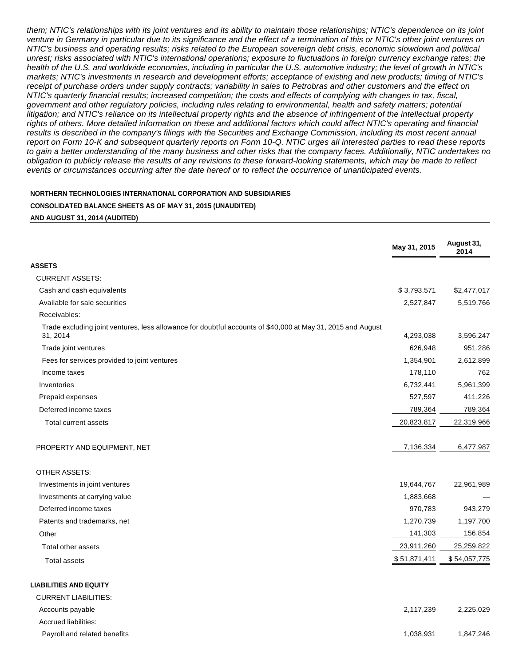them; NTIC's relationships with its joint ventures and its ability to maintain those relationships; NTIC's dependence on its joint venture in Germany in particular due to its significance and the effect of a termination of this or NTIC's other joint ventures on NTIC's business and operating results; risks related to the European sovereign debt crisis, economic slowdown and political unrest; risks associated with NTIC's international operations; exposure to fluctuations in foreign currency exchange rates; the health of the U.S. and worldwide economies, including in particular the U.S. automotive industry; the level of growth in NTIC's markets; NTIC's investments in research and development efforts; acceptance of existing and new products; timing of NTIC's receipt of purchase orders under supply contracts; variability in sales to Petrobras and other customers and the effect on NTIC's quarterly financial results; increased competition; the costs and effects of complying with changes in tax, fiscal, government and other regulatory policies, including rules relating to environmental, health and safety matters; potential litigation; and NTIC's reliance on its intellectual property rights and the absence of infringement of the intellectual property rights of others. More detailed information on these and additional factors which could affect NTIC's operating and financial results is described in the company's filings with the Securities and Exchange Commission, including its most recent annual report on Form 10-K and subsequent quarterly reports on Form 10-Q. NTIC urges all interested parties to read these reports to gain a better understanding of the many business and other risks that the company faces. Additionally, NTIC undertakes no obligation to publicly release the results of any revisions to these forward-looking statements, which may be made to reflect events or circumstances occurring after the date hereof or to reflect the occurrence of unanticipated events.

#### **NORTHERN TECHNOLOGIES INTERNATIONAL CORPORATION AND SUBSIDIARIES**

#### **CONSOLIDATED BALANCE SHEETS AS OF MAY 31, 2015 (UNAUDITED)**

#### **AND AUGUST 31, 2014 (AUDITED)**

|                                                                                                                         | May 31, 2015 | August 31,<br>2014 |
|-------------------------------------------------------------------------------------------------------------------------|--------------|--------------------|
| ASSETS                                                                                                                  |              |                    |
| <b>CURRENT ASSETS:</b>                                                                                                  |              |                    |
| Cash and cash equivalents                                                                                               | \$3,793,571  | \$2,477,017        |
| Available for sale securities                                                                                           | 2,527,847    | 5,519,766          |
| Receivables:                                                                                                            |              |                    |
| Trade excluding joint ventures, less allowance for doubtful accounts of \$40,000 at May 31, 2015 and August<br>31, 2014 | 4,293,038    | 3,596,247          |
| Trade joint ventures                                                                                                    | 626,948      | 951,286            |
| Fees for services provided to joint ventures                                                                            | 1,354,901    | 2,612,899          |
| Income taxes                                                                                                            | 178,110      | 762                |
| Inventories                                                                                                             | 6,732,441    | 5,961,399          |
| Prepaid expenses                                                                                                        | 527,597      | 411,226            |
| Deferred income taxes                                                                                                   | 789,364      | 789,364            |
| Total current assets                                                                                                    | 20,823,817   | 22,319,966         |
| PROPERTY AND EQUIPMENT, NET                                                                                             | 7,136,334    | 6,477,987          |
| <b>OTHER ASSETS:</b>                                                                                                    |              |                    |
| Investments in joint ventures                                                                                           | 19,644,767   | 22,961,989         |
| Investments at carrying value                                                                                           | 1,883,668    |                    |
| Deferred income taxes                                                                                                   | 970,783      | 943,279            |
| Patents and trademarks, net                                                                                             | 1,270,739    | 1,197,700          |
| Other                                                                                                                   | 141,303      | 156,854            |
| Total other assets                                                                                                      | 23,911,260   | 25,259,822         |
| <b>Total assets</b>                                                                                                     | \$51,871,411 | \$54,057,775       |
| <b>LIABILITIES AND EQUITY</b>                                                                                           |              |                    |
| <b>CURRENT LIABILITIES:</b>                                                                                             |              |                    |
| Accounts payable                                                                                                        | 2,117,239    | 2,225,029          |
| <b>Accrued liabilities:</b>                                                                                             |              |                    |

Payroll and related benefits 1,038,931 1,847,246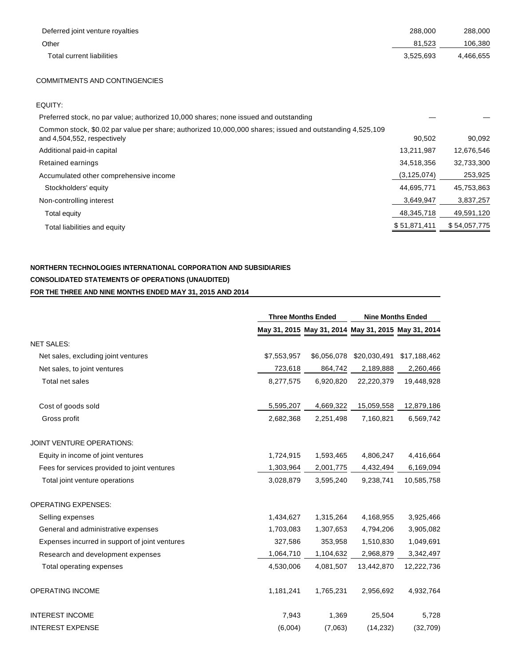| Deferred joint venture royalties | 288,000   | 288,000   |
|----------------------------------|-----------|-----------|
| Other                            | 81.523    | 106,380   |
| Total current liabilities        | 3.525.693 | 4,466,655 |
|                                  |           |           |

## COMMITMENTS AND CONTINGENCIES

| EQUITY:                                                                                                                                 |               |              |
|-----------------------------------------------------------------------------------------------------------------------------------------|---------------|--------------|
| Preferred stock, no par value; authorized 10,000 shares; none issued and outstanding                                                    |               |              |
| Common stock, \$0.02 par value per share; authorized 10,000,000 shares; issued and outstanding 4,525,109<br>and 4,504,552, respectively | 90.502        | 90,092       |
| Additional paid-in capital                                                                                                              | 13,211,987    | 12,676,546   |
| Retained earnings                                                                                                                       | 34,518,356    | 32,733,300   |
| Accumulated other comprehensive income                                                                                                  | (3, 125, 074) | 253,925      |
| Stockholders' equity                                                                                                                    | 44,695,771    | 45,753,863   |
| Non-controlling interest                                                                                                                | 3,649,947     | 3,837,257    |
| Total equity                                                                                                                            | 48,345,718    | 49,591,120   |
| Total liabilities and equity                                                                                                            | \$51,871,411  | \$54,057,775 |

## **NORTHERN TECHNOLOGIES INTERNATIONAL CORPORATION AND SUBSIDIARIES CONSOLIDATED STATEMENTS OF OPERATIONS (UNAUDITED) FOR THE THREE AND NINE MONTHS ENDED MAY 31, 2015 AND 2014**

|                                                |             | <b>Three Months Ended</b>                           |              | <b>Nine Months Ended</b> |  |
|------------------------------------------------|-------------|-----------------------------------------------------|--------------|--------------------------|--|
|                                                |             | May 31, 2015 May 31, 2014 May 31, 2015 May 31, 2014 |              |                          |  |
| <b>NET SALES:</b>                              |             |                                                     |              |                          |  |
| Net sales, excluding joint ventures            | \$7,553,957 | \$6,056,078                                         | \$20,030,491 | \$17,188,462             |  |
| Net sales, to joint ventures                   | 723,618     | 864,742                                             | 2,189,888    | 2,260,466                |  |
| Total net sales                                | 8,277,575   | 6,920,820                                           | 22,220,379   | 19,448,928               |  |
| Cost of goods sold                             | 5,595,207   | 4,669,322                                           | 15,059,558   | 12,879,186               |  |
| Gross profit                                   | 2,682,368   | 2,251,498                                           | 7,160,821    | 6,569,742                |  |
| JOINT VENTURE OPERATIONS:                      |             |                                                     |              |                          |  |
| Equity in income of joint ventures             | 1,724,915   | 1,593,465                                           | 4,806,247    | 4,416,664                |  |
| Fees for services provided to joint ventures   | 1,303,964   | 2,001,775                                           | 4,432,494    | 6,169,094                |  |
| Total joint venture operations                 | 3,028,879   | 3,595,240                                           | 9,238,741    | 10,585,758               |  |
| <b>OPERATING EXPENSES:</b>                     |             |                                                     |              |                          |  |
| Selling expenses                               | 1,434,627   | 1,315,264                                           | 4,168,955    | 3,925,466                |  |
| General and administrative expenses            | 1,703,083   | 1,307,653                                           | 4,794,206    | 3,905,082                |  |
| Expenses incurred in support of joint ventures | 327,586     | 353,958                                             | 1,510,830    | 1,049,691                |  |
| Research and development expenses              | 1,064,710   | 1,104,632                                           | 2,968,879    | 3,342,497                |  |
| Total operating expenses                       | 4,530,006   | 4,081,507                                           | 13,442,870   | 12,222,736               |  |
| <b>OPERATING INCOME</b>                        | 1,181,241   | 1,765,231                                           | 2,956,692    | 4,932,764                |  |
| <b>INTEREST INCOME</b>                         | 7,943       | 1,369                                               | 25,504       | 5,728                    |  |
| <b>INTEREST EXPENSE</b>                        | (6,004)     | (7,063)                                             | (14, 232)    | (32,709)                 |  |